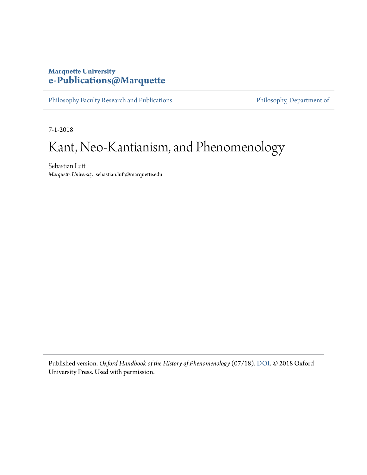## **Marquette University [e-Publications@Marquette](https://epublications.marquette.edu/)**

[Philosophy Faculty Research and Publications](https://epublications.marquette.edu/phil_fac) [Philosophy, Department of](https://epublications.marquette.edu/philosophy)

7-1-2018

# Kant, Neo-Kantianism, and Phenomenology

Sebastian Luft *Marquette University*, sebastian.luft@marquette.edu

Published version. *Oxford Handbook of the History of Phenomenology* (07/18). [DOI](https://dx.doi.org/10.1093/oxfordhb/9780198755340.013.5). © 2018 Oxford University Press. Used with permission.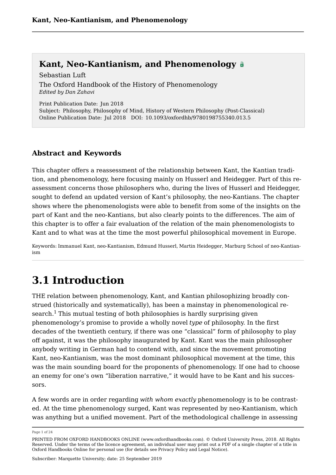Sebastian Luft

The Oxford Handbook of the History of Phenomenology *Edited by Dan Zahavi*

Print Publication Date: Jun 2018 Subject: Philosophy, Philosophy of Mind, History of Western Philosophy (Post-Classical) Online Publication Date: Jul 2018 DOI: 10.1093/oxfordhb/9780198755340.013.5

#### **Abstract and Keywords**

This chapter offers a reassessment of the relationship between Kant, the Kantian tradition, and phenomenology, here focusing mainly on Husserl and Heidegger. Part of this reassessment concerns those philosophers who, during the lives of Husserl and Heidegger, sought to defend an updated version of Kant's philosophy, the neo-Kantians. The chapter shows where the phenomenologists were able to benefit from some of the insights on the part of Kant and the neo-Kantians, but also clearly points to the differences. The aim of this chapter is to offer a fair evaluation of the relation of the main phenomenologists to Kant and to what was at the time the most powerful philosophical movement in Europe.

Keywords: Immanuel Kant, neo-Kantianism, Edmund Husserl, Martin Heidegger, Marburg School of neo-Kantianism

## **3.1 Introduction**

THE relation between phenomenology, Kant, and Kantian philosophizing broadly construed (historically and systematically), has been a mainstay in phenomenological research.<sup>1</sup> This mutual testing of both philosophies is hardly surprising given phenomenology's promise to provide a wholly novel *type* of philosophy. In the first decades of the twentieth century, if there was one "classical" form of philosophy to play off against, it was the philosophy inaugurated by Kant. Kant was the main philosopher anybody writing in German had to contend with, and since the movement promoting Kant, neo-Kantianism, was the most dominant philosophical movement at the time, this was the main sounding board for the proponents of phenomenology. If one had to choose an enemy for one's own "liberation narrative," it would have to be Kant and his successors.

A few words are in order regarding *with whom exactly* phenomenology is to be contrasted. At the time phenomenology surged, Kant was represented by neo-Kantianism, which was anything but a unified movement. Part of the methodological challenge in assessing

Page 1 of 24

PRINTED FROM OXFORD HANDBOOKS ONLINE (www.oxfordhandbooks.com). © Oxford University Press, 2018. All Rights Reserved. Under the terms of the licence agreement, an individual user may print out a PDF of a single chapter of a title in Oxford Handbooks Online for personal use (for details see Privacy Policy and Legal Notice).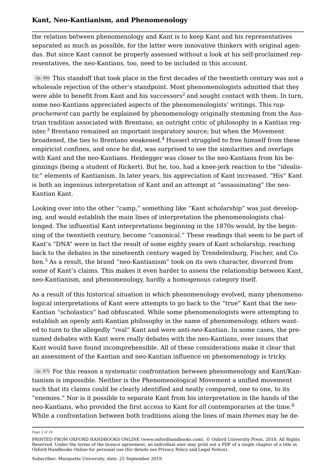the relation between phenomenology and Kant is to keep Kant and his representatives separated as much as possible, for the latter were innovative thinkers with original agendas. But since Kant cannot be properly assessed without a look at his self-proclaimed representatives, the neo-Kantians, too, need to be included in this account.

**(p. 46)** This standoff that took place in the first decades of the twentieth century was not a wholesale rejection of the other's standpoint. Most phenomenologists admitted that they were able to benefit from Kant and his successors<sup>2</sup> and sought contact with them. In turn, some neo-Kantians appreciated aspects of the phenomenologists' writings. This *rapprochement* can partly be explained by phenomenology originally stemming from the Austrian tradition associated with Brentano, an outright critic of philosophy in a Kantian register.<sup>3</sup> Brentano remained an important inspiratory source; but when the Movement broadened, the ties to Brentano weakened. $4$  Husserl struggled to free himself from these empiricist confines, and once he did, was surprised to see the similarities and overlaps with Kant and the neo-Kantians. Heidegger was closer to the neo-Kantians from his beginnings (being a student of Rickert). But he, too, had a knee-jerk reaction to the "idealistic" elements of Kantianism. In later years, his appreciation of Kant increased. "His" Kant is both an ingenious interpretation of Kant and an attempt at "assassinating" the neo-Kantian Kant.

Looking over into the other "camp," something like "Kant scholarship" was just developing, and would establish the main lines of interpretation the phenomenologists challenged. The influential Kant interpretations beginning in the 1870s would, by the beginning of the twentieth century, become "canonical." These readings that seem to be part of Kant's "DNA" were in fact the result of some eighty years of Kant scholarship, reaching back to the debates in the nineteenth century waged by Trendelenburg, Fischer, and Cohen.<sup>5</sup> As a result, the brand "neo-Kantianism" took on its own character, divorced from some of Kant's claims. This makes it even harder to assess the relationship between Kant, neo-Kantianism, and phenomenology, hardly a homogenous category itself.

As a result of this historical situation in which phenomenology evolved, many phenomenological interpretations of Kant were attempts to go back to the "true" Kant that the neo-Kantian "scholastics" had obfuscated. While some phenomenologists were attempting to establish an openly anti-Kantian philosophy in the name of phenomenology, others wanted to turn to the allegedly "real" Kant and were anti-*neo*-Kantian. In some cases, the presumed debates with Kant were really debates with the neo-Kantians, over issues that Kant would have found incomprehensible. All of these considerations make it clear that an assessment of the Kantian and neo-Kantian influence on phenomenology is tricky.

**(p. 47)** For this reason a systematic confrontation between phenomenology and Kant/Kantianism is impossible. Neither is the Phenomenological Movement a unified movement such that its claims could be clearly identified and neatly compared, one to one, to its "enemies." Nor is it possible to separate Kant from his interpretation in the hands of the neo-Kantians, who provided the first access to Kant for *all* contemporaries at the time.<sup>6</sup> While a confrontation between both traditions along the lines of main *themes* may be de

Page 2 of 24

PRINTED FROM OXFORD HANDBOOKS ONLINE (www.oxfordhandbooks.com). © Oxford University Press, 2018. All Rights Reserved. Under the terms of the licence agreement, an individual user may print out a PDF of a single chapter of a title in Oxford Handbooks Online for personal use (for details see Privacy Policy and Legal Notice).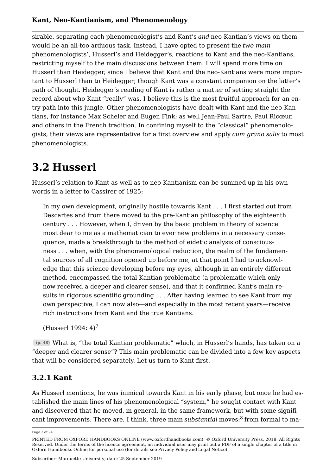sirable, separating each phenomenologist's and Kant's *and* neo-Kantian's views on them would be an all-too arduous task. Instead, I have opted to present the *two main* phenomenologists', Husserl's and Heidegger's, reactions to Kant and the neo-Kantians, restricting myself to the main discussions between them. I will spend more time on Husserl than Heidegger, since I believe that Kant and the neo-Kantians were more important to Husserl than to Heidegger; though Kant was a constant companion on the latter's path of thought. Heidegger's reading of Kant is rather a matter of setting straight the record about who Kant "really" was. I believe this is the most fruitful approach for an entry path into this jungle. Other phenomenologists have dealt with Kant and the neo-Kantians, for instance Max Scheler and Eugen Fink; as well Jean-Paul Sartre, Paul Ricœur, and others in the French tradition. In confining myself to the "classical" phenomenologists, their views are representative for a first overview and apply *cum grano salis* to most phenomenologists.

## **3.2 Husserl**

Husserl's relation to Kant as well as to neo-Kantianism can be summed up in his own words in a letter to Cassirer of 1925:

In my own development, originally hostile towards Kant . . . I first started out from Descartes and from there moved to the pre-Kantian philosophy of the eighteenth century . . . However, when I, driven by the basic problem in theory of science most dear to me as a mathematician to ever new problems in a necessary consequence, made a breakthrough to the method of eidetic analysis of consciousness . . . when, with the phenomenological reduction, the realm of the fundamental sources of all cognition opened up before me, at that point I had to acknowledge that this science developing before my eyes, although in an entirely different method, encompassed the total Kantian problematic (a problematic which only now received a deeper and clearer sense), and that it confirmed Kant's main results in rigorous scientific grounding . . . After having learned to see Kant from my own perspective, I can now also—and especially in the most recent years—receive rich instructions from Kant and the true Kantians.

(Husserl 1994:  $4$ )<sup>7</sup>

**(p. 48)** What is, "the total Kantian problematic" which, in Husserl's hands, has taken on a "deeper and clearer sense"? This main problematic can be divided into a few key aspects that will be considered separately. Let us turn to Kant first.

#### **3.2.1 Kant**

As Husserl mentions, he was inimical towards Kant in his early phase, but once he had established the main lines of his phenomenological "system," he sought contact with Kant and discovered that he moved, in general, in the same framework, but with some significant improvements. There are, I think, three main *substantial* moves:<sup>8</sup> from formal to ma-

Page 3 of 24

PRINTED FROM OXFORD HANDBOOKS ONLINE (www.oxfordhandbooks.com). © Oxford University Press, 2018. All Rights Reserved. Under the terms of the licence agreement, an individual user may print out a PDF of a single chapter of a title in Oxford Handbooks Online for personal use (for details see Privacy Policy and Legal Notice).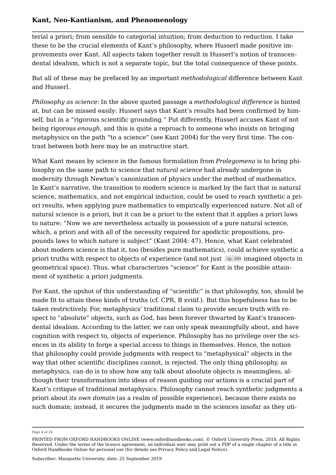terial a priori; from sensible to categorial intuition; from deduction to reduction. I take these to be the crucial elements of Kant's philosophy, where Husserl made positive improvements over Kant. All aspects taken together result in Husserl's notion of transcendental idealism, which is not a separate topic, but the total consequence of these points.

But all of these may be prefaced by an important *methodological* difference between Kant and Husserl.

*Philosophy as science:* In the above quoted passage a *methodological difference* is hinted at, but can be missed easily: Husserl says that Kant's results had been confirmed by himself, but in a "rigorous scientific grounding." Put differently, Husserl accuses Kant of not being rigorous *enough*, and this is quite a reproach to someone who insists on bringing metaphysics on the path "to a science" (see Kant 2004) for the very first time. The contrast between both here may be an instructive start.

What Kant means by science in the famous formulation from *Prolegomena* is to bring philosophy on the same path to science that *natural science* had already undergone in modernity through Newton's canonization of physics under the method of mathematics. In Kant's narrative, the transition to modern science is marked by the fact that in natural science, mathematics, and not empirical induction, could be used to reach synthetic a priori results, when applying pure mathematics to empirically experienced nature. Not all of natural science is a priori, but it can be a priori to the extent that it applies a priori laws to nature: "Now we are nevertheless actually in possession of a pure natural science, which, a priori and with all of the necessity required for apodictic propositions, propounds laws to which nature is subject" (Kant 2004: 47). Hence, what Kant celebrated about modern science is that it, too (besides pure mathematics), could achieve synthetic a priori truths with respect to objects of experience (and not just **(p. 49)** imagined objects in geometrical space). Thus, what characterizes "science" for Kant is the possible attainment of synthetic a priori judgments.

For Kant, the upshot of this understanding of "scientific" is that philosophy, too, should be made fit to attain these kinds of truths (cf. CPR, B xviiif.). But this hopefulness has to be taken restrictively. For, metaphysics' traditional claim to provide secure truth with respect to "absolute" objects, such as God, has been forever thwarted by Kant's transcendental idealism. According to the latter, we can only speak meaningfully about, and have cognition with respect to, objects of experience. Philosophy has no privilege over the sciences in its ability to forge a special access to things in themselves. Hence, the notion that philosophy could provide judgments with respect to "metaphysical" objects in the way that other scientific disciplines cannot, is rejected. The only thing philosophy, as metaphysics, can do is to show how any talk about absolute objects is meaningless, although their transformation into ideas of reason guiding our actions is a crucial part of Kant's critique of traditional metaphysics. Philosophy cannot reach synthetic judgments a priori about *its own domain* (as a realm of possible experience), because there exists no such domain; instead, it secures the judgments made in the sciences insofar as they uti

Page 4 of 24

PRINTED FROM OXFORD HANDBOOKS ONLINE (www.oxfordhandbooks.com). © Oxford University Press, 2018. All Rights Reserved. Under the terms of the licence agreement, an individual user may print out a PDF of a single chapter of a title in Oxford Handbooks Online for personal use (for details see Privacy Policy and Legal Notice).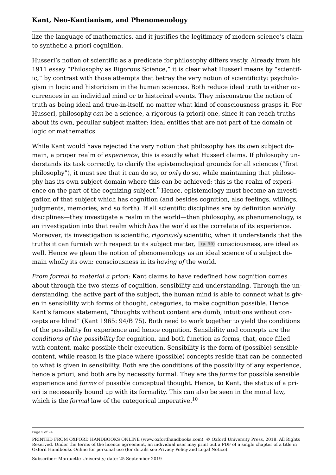lize the language of mathematics, and it justifies the legitimacy of modern science's claim to synthetic a priori cognition.

Husserl's notion of scientific as a predicate for philosophy differs vastly. Already from his 1911 essay "Philosophy as Rigorous Science," it is clear what Husserl means by "scientific," by contrast with those attempts that betray the very notion of scientificity: psychologism in logic and historicism in the human sciences. Both reduce ideal truth to either occurrences in an individual mind or to historical events. They misconstrue the notion of truth as being ideal and true-in-itself, no matter what kind of consciousness grasps it. For Husserl, philosophy *can* be a science, a rigorous (a priori) one, since it can reach truths about its own, peculiar subject matter: ideal entities that are not part of the domain of logic or mathematics.

While Kant would have rejected the very notion that philosophy has its own subject domain, a proper realm of *experience*, this is exactly what Husserl claims. If philosophy understands its task correctly, to clarify the epistemological grounds for all sciences ("first philosophy"), it must see that it can do so, or *only* do so, while maintaining that philosophy has its own subject domain where this can be achieved: this is the realm of experience on the part of the cognizing subject. $9$  Hence, epistemology must become an investigation of that subject which has cognition (and besides cognition, also feelings, willings, judgments, memories, and so forth). If all scientific disciplines are by definition *worldly* disciplines—they investigate a realm in the world—then philosophy, as phenomenology, is an investigation into that realm which *has* the world as the correlate of its experience. Moreover, its investigation is scientific, *rigorously* scientific, when it understands that the truths it can furnish with respect to its subject matter, **(p. 50)** consciousness, are ideal as well. Hence we glean the notion of phenomenology as an ideal science of a subject domain wholly its own: consciousness in its *having of* the world.

*From formal to material a priori*: Kant claims to have redefined how cognition comes about through the two stems of cognition, sensibility and understanding. Through the understanding, the active part of the subject, the human mind is able to connect what is given in sensibility with forms of thought, categories, to make cognition possible. Hence Kant's famous statement, "thoughts without content are dumb, intuitions without concepts are blind" (Kant 1965: 94/B 75). Both need to work together to yield the conditions of the possibility for experience and hence cognition. Sensibility and concepts are the *conditions of the possibility* for cognition, and both function as forms, that, once filled with content, make possible their execution. Sensibility is the form of (possible) sensible content, while reason is the place where (possible) concepts reside that can be connected to what is given in sensibility. Both are the conditions of the possibility of any experience, hence a priori, and both are by necessity formal. They are the *forms* for possible sensible experience and *forms* of possible conceptual thought. Hence, to Kant, the status of a priori is necessarily bound up with its formality. This can also be seen in the moral law, which is the *formal* law of the categorical imperative.<sup>10</sup>

Page 5 of 24

PRINTED FROM OXFORD HANDBOOKS ONLINE (www.oxfordhandbooks.com). © Oxford University Press, 2018. All Rights Reserved. Under the terms of the licence agreement, an individual user may print out a PDF of a single chapter of a title in Oxford Handbooks Online for personal use (for details see Privacy Policy and Legal Notice).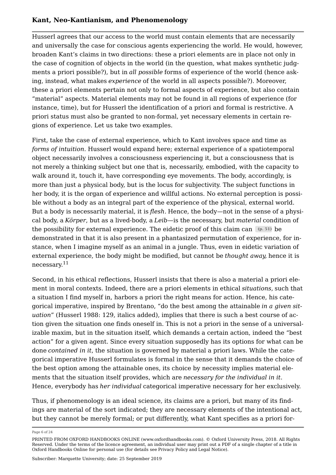Husserl agrees that our access to the world must contain elements that are necessarily and universally the case for conscious agents experiencing the world. He would, however, broaden Kant's claims in two directions: these a priori elements are in place not only in the case of cognition of objects in the world (in the question, what makes synthetic judgments a priori possible?), but in *all possible* forms of experience of the world (hence asking, instead, what makes *experience* of the world in all aspects possible?). Moreover, these a priori elements pertain not only to formal aspects of experience, but also contain "material" aspects. Material elements may not be found in all regions of experience (for instance, time), but for Husserl the identification of a priori and formal is restrictive. A priori status must also be granted to non-formal, yet necessary elements in certain regions of experience. Let us take two examples.

First, take the case of external experience, which to Kant involves space and time as *forms of intuition*. Husserl would expand here; external experience of a spatiotemporal object necessarily involves a consciousness experiencing it, but a consciousness that is not merely a thinking subject but one that is, necessarily, embodied, with the capacity to walk around it, touch it, have corresponding eye movements. The body, accordingly, is more than just a physical body, but is the locus for subjectivity. The subject functions in her body, it is the organ of experience and willful actions. No external perception is possible without a body as an integral part of the experience of the physical, external world. But a body is necessarily material, it is *flesh.* Hence, the body—not in the sense of a physical body, a *Körper*, but as a lived-body, a *Leib*—is the necessary, but *material* condition of the possibility for external experience. The eidetic proof of this claim can **(p. 51)** be demonstrated in that it is also present in a phantasized permutation of experience, for instance, when I imagine myself as an animal in a jungle. Thus, even in eidetic variation of external experience, the body might be modified, but cannot be *thought away,* hence it is necessary.<sup>11</sup>

Second, in his ethical reflections, Husserl insists that there is also a material a priori element in moral contexts. Indeed, there are a priori elements in ethical *situations,* such that a situation I find myself in, harbors a priori the right means for action. Hence, his categorical imperative, inspired by Brentano, "do the best among the attainable *in a given situation*" (Husserl 1988: 129, italics added), implies that there is such a best course of action given the situation one finds oneself in. This is not a priori in the sense of a universalizable maxim, but in the situation itself, which demands a certain action, indeed the "best action" for a given agent. Since every situation supposedly has its options for what can be done *contained in it*, the situation is governed by material a priori laws. While the categorical imperative Husserl formulates is formal in the sense that it demands the choice of the best option among the attainable ones, its choice by necessity implies material elements that the situation itself provides, which are *necessary for the individual in it*. Hence, everybody has *her individual* categorical imperative necessary for her exclusively.

Thus, if phenomenology is an ideal science, its claims are a priori, but many of its findings are material of the sort indicated; they are necessary elements of the intentional act, but they cannot be merely formal; or put differently, what Kant specifies as a priori for

Page 6 of 24

PRINTED FROM OXFORD HANDBOOKS ONLINE (www.oxfordhandbooks.com). © Oxford University Press, 2018. All Rights Reserved. Under the terms of the licence agreement, an individual user may print out a PDF of a single chapter of a title in Oxford Handbooks Online for personal use (for details see Privacy Policy and Legal Notice).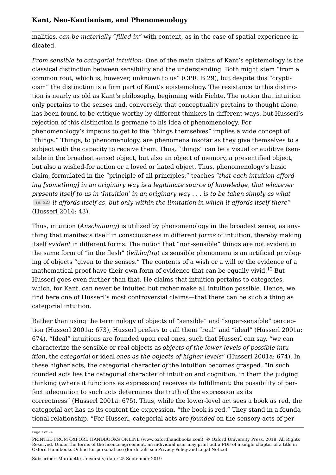malities, *can be materially "filled in"* with content, as in the case of spatial experience indicated.

*From sensible to categorial intuition*: One of the main claims of Kant's epistemology is the classical distinction between sensibility and the understanding. Both might stem "from a common root, which is, however, unknown to us" (CPR: B 29), but despite this "crypticism" the distinction is a firm part of Kant's epistemology. The resistance to this distinction is nearly as old as Kant's philosophy, beginning with Fichte. The notion that intuition only pertains to the senses and, conversely, that conceptuality pertains to thought alone, has been found to be critique-worthy by different thinkers in different ways, but Husserl's rejection of this distinction is germane to his idea of phenomenology. For phenomenology's impetus to get to the "things themselves" implies a wide concept of "things." Things, to phenomenology, are phenomena insofar as they give themselves to a subject with the capacity to receive them. Thus, "things" can be a visual or auditive (sensible in the broadest sense) object, but also an object of memory, a presentified object, but also a wished-for action or a loved or hated object. Thus, phenomenology's basic claim, formulated in the "principle of all principles," teaches "*that each intuition affording [something] in an originary way is a legitimate source of knowledge, that whatever presents itself to us in 'Intuition' in an originary way . . . is to be taken simply as what (p. 52) it affords itself as, but only within the limitation in which it affords itself there"* (Husserl 2014: 43).

Thus, intuition (*Anschauung*) is utilized by phenomenology in the broadest sense, as anything that manifests itself in consciousness in different *forms* of intuition, thereby making itself *evident* in different forms. The notion that "non-sensible" things are not evident in the same form of "in the flesh" (*leibhaftig*) as sensible phenomena is an artificial privileging of objects "given to the senses." The contents of a wish or a will or the evidence of a mathematical proof have their own form of evidence that can be equally vivid.<sup>12</sup> But Husserl goes even further than that. He claims that intuition pertains to categories, which, for Kant, can never be intuited but rather make all intuition possible. Hence, we find here one of Husserl's most controversial claims—that there can be such a thing as categorial intuition.

Rather than using the terminology of objects of "sensible" and "super-sensible" perception (Husserl 2001a: 673), Husserl prefers to call them "real" and "ideal" (Husserl 2001a: 674). "Ideal" intuitions are founded upon real ones, such that Husserl can say, "we can characterize the sensible or real objects as *objects of the lower levels of possible intuition,* the *categorial* or ideal *ones as the objects of higher levels*" (Husserl 2001a: 674). In these higher acts, the categorial character *of* the intuition becomes grasped. "In such founded acts lies the categorial character of intuition and cognition, in them the judging thinking (where it functions as expression) receives its fulfillment: the possibility of perfect adequation to such acts determines the truth of the expression as its correctness" (Husserl 2001a: 675). Thus, while the lower-level act sees a book as red, the categorial act has as its content the expression, "the book is red." They stand in a foundational relationship. "For Husserl, categorial acts are *founded* on the sensory acts of per

Page 7 of 24

PRINTED FROM OXFORD HANDBOOKS ONLINE (www.oxfordhandbooks.com). © Oxford University Press, 2018. All Rights Reserved. Under the terms of the licence agreement, an individual user may print out a PDF of a single chapter of a title in Oxford Handbooks Online for personal use (for details see Privacy Policy and Legal Notice).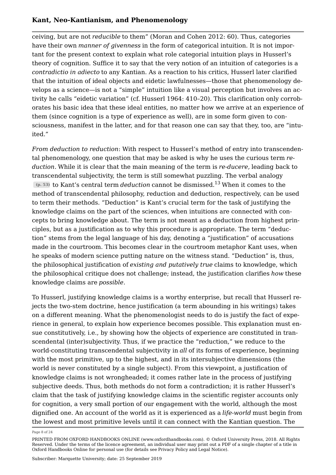ceiving, but are not *reducible* to them" (Moran and Cohen 2012: 60). Thus, categories have their own *manner of givenness* in the form of categorical intuition. It is not important for the present context to explain what role categorial intuition plays in Husserl's theory of cognition. Suffice it to say that the very notion of an intuition of categories is a *contradictio in adiecto* to any Kantian. As a reaction to his critics, Husserl later clarified that the intuition of ideal objects and eidetic lawfulnesses—those that phenomenology develops as a science—is not a "simple" intuition like a visual perception but involves an activity he calls "eidetic variation" (cf. Husserl 1964: 410–20). This clarification only corroborates his basic idea that these ideal entities, no matter how we arrive at an experience of them (since cognition is a type of experience as well), are in some form given to consciousness, manifest in the latter, and for that reason one can say that they, too, are "intuited."

*From deduction to reduction*: With respect to Husserl's method of entry into transcendental phenomenology, one question that may be asked is why he uses the curious term *reduction.* While it is clear that the main meaning of the term is *re-ducere,* leading back to transcendental subjectivity, the term is still somewhat puzzling. The verbal analogy **(p. 53)** to Kant's central term *deduction* cannot be dismissed.<sup>13</sup> When it comes to the method of transcendental philosophy, reduction and deduction, respectively, can be used to term their methods. "Deduction" is Kant's crucial term for the task of justifying the knowledge claims on the part of the sciences, when intuitions are connected with concepts to bring knowledge about. The term is not meant as a deduction from highest principles, but as a justification as to why this procedure is appropriate. The term "deduction" stems from the legal language of his day, denoting a "justification" of accusations made in the courtroom. This becomes clear in the courtroom metaphor Kant uses, when he speaks of modern science putting nature on the witness stand. "Deduction" is, thus, the philosophical justification of *existing and putatively true* claims to knowledge, which the philosophical critique does not challenge; instead, the justification clarifies *how* these knowledge claims are *possible*.

To Husserl, justifying knowledge claims is a worthy enterprise, but recall that Husserl rejects the two-stem doctrine, hence justification (a term abounding in his writings) takes on a different meaning. What the phenomenologist needs to do is justify the fact of experience in general, to explain how experience becomes possible. This explanation must ensue constitutively, i.e., by showing how the objects of experience are constituted in transcendental (inter)subjectivity. Thus, if we practice the "reduction," we reduce to the world-constituting transcendental subjectivity in *all* of its forms of experience, beginning with the most primitive, up to the highest, and in its intersubjective dimensions (the world is never constituted by a single subject). From this viewpoint, a justification of knowledge claims is not wrongheaded; it comes rather late in the process of justifying subjective deeds. Thus, both methods do not form a contradiction; it is rather Husserl's claim that the task of justifying knowledge claims in the scientific register accounts only for cognition, a very small portion of our engagement with the world, although the most dignified one. An account of the world as it is experienced as a *life-world* must begin from the lowest and most primitive levels until it can connect with the Kantian question. The

Page 8 of 24

PRINTED FROM OXFORD HANDBOOKS ONLINE (www.oxfordhandbooks.com). © Oxford University Press, 2018. All Rights Reserved. Under the terms of the licence agreement, an individual user may print out a PDF of a single chapter of a title in Oxford Handbooks Online for personal use (for details see Privacy Policy and Legal Notice).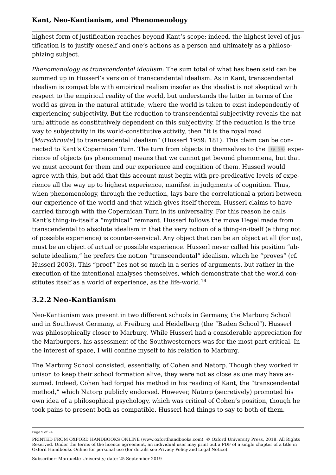highest form of justification reaches beyond Kant's scope; indeed, the highest level of justification is to justify oneself and one's actions as a person and ultimately as a philosophizing subject.

*Phenomenology as transcendental idealism*: The sum total of what has been said can be summed up in Husserl's version of transcendental idealism. As in Kant, transcendental idealism is compatible with empirical realism insofar as the idealist is not skeptical with respect to the empirical reality of the world, but understands the latter in terms of the world as given in the natural attitude, where the world is taken to exist independently of experiencing subjectivity. But the reduction to transcendental subjectivity reveals the natural attitude as constitutively dependent on this subjectivity. If the reduction is the true way to subjectivity in its world-constitutive activity, then "it is the royal road [*Marschroute*] to transcendental idealism" (Husserl 1959: 181). This claim can be connected to Kant's Copernican Turn. The turn from objects in themselves to the **(p. 54)** experience of objects (as phenomena) means that we cannot get beyond phenomena, but that we must account for them and our experience and cognition of them. Husserl would agree with this, but add that this account must begin with pre-predicative levels of experience all the way up to highest experience, manifest in judgments of cognition. Thus, when phenomenology, through the reduction, lays bare the correlational a priori between our experience of the world and that which gives itself therein, Husserl claims to have carried through with the Copernican Turn in its universality. For this reason he calls Kant's thing-in-itself a "mythical" remnant. Husserl follows the move Hegel made from transcendental to absolute idealism in that the very notion of a thing-in-itself (a thing not of possible experience) is counter-sensical. Any object that can be an object at all (for us), must be an object of actual or possible experience. Husserl never called his position "absolute idealism," he prefers the notion "transcendental" idealism, which he "proves" (cf. Husserl 2003). This "proof" lies not so much in a series of arguments, but rather in the execution of the intentional analyses themselves, which demonstrate that the world constitutes itself as a world of experience, as the life-world.<sup>14</sup>

## **3.2.2 Neo-Kantianism**

Neo-Kantianism was present in two different schools in Germany, the Marburg School and in Southwest Germany, at Freiburg and Heidelberg (the "Baden School"). Husserl was philosophically closer to Marburg. While Husserl had a considerable appreciation for the Marburgers, his assessment of the Southwesterners was for the most part critical. In the interest of space, I will confine myself to his relation to Marburg.

The Marburg School consisted, essentially, of Cohen and Natorp. Though they worked in unison to keep their school formation alive, they were not as close as one may have assumed. Indeed, Cohen had forged his method in his reading of Kant, the "transcendental method," which Natorp publicly endorsed. However, Natorp (secretively) promoted his own idea of a philosophical psychology, which was critical of Cohen's position, though he took pains to present both as compatible. Husserl had things to say to both of them.

Page 9 of 24

PRINTED FROM OXFORD HANDBOOKS ONLINE (www.oxfordhandbooks.com). © Oxford University Press, 2018. All Rights Reserved. Under the terms of the licence agreement, an individual user may print out a PDF of a single chapter of a title in Oxford Handbooks Online for personal use (for details see Privacy Policy and Legal Notice).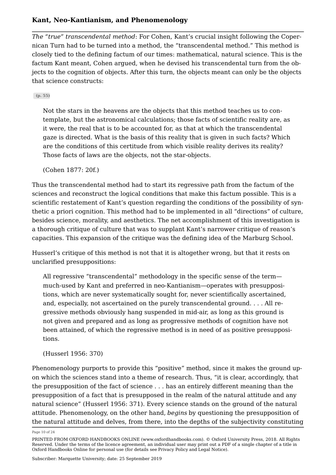*The "true" transcendental method*: For Cohen, Kant's crucial insight following the Copernican Turn had to be turned into a method, the "transcendental method." This method is closely tied to the defining factum of our times: mathematical, natural science. This is the factum Kant meant, Cohen argued, when he devised his transcendental turn from the objects to the cognition of objects. After this turn, the objects meant can only be the objects that science constructs:

#### **(p. 55)**

Not the stars in the heavens are the objects that this method teaches us to contemplate, but the astronomical calculations; those facts of scientific reality are, as it were, the real that is to be accounted for, as that at which the transcendental gaze is directed. What is the basis of this reality that is given in such facts? Which are the conditions of this certitude from which visible reality derives its reality? Those facts of laws are the objects, not the star-objects.

(Cohen 1877: 20f.)

Thus the transcendental method had to start its regressive path from the factum of the sciences and reconstruct the logical conditions that make this factum possible. This is a scientific restatement of Kant's question regarding the conditions of the possibility of synthetic a priori cognition. This method had to be implemented in all "directions" of culture, besides science, morality, and aesthetics. The net accomplishment of this investigation is a thorough critique of culture that was to supplant Kant's narrower critique of reason's capacities. This expansion of the critique was the defining idea of the Marburg School.

Husserl's critique of this method is not that it is altogether wrong, but that it rests on unclarified presuppositions:

All regressive "transcendental" methodology in the specific sense of the term much-used by Kant and preferred in neo-Kantianism—operates with presuppositions, which are never systematically sought for, never scientifically ascertained, and, especially, not ascertained on the purely transcendental ground. . . . All regressive methods obviously hang suspended in mid-air, as long as this ground is not given and prepared and as long as progressive methods of cognition have not been attained, of which the regressive method is in need of as positive presuppositions.

(Husserl 1956: 370)

Phenomenology purports to provide this "positive" method, since it makes the ground upon which the sciences stand into a theme of research. Thus, "it is clear, accordingly, that the presupposition of the fact of science . . . has an entirely different meaning than the presupposition of a fact that is presupposed in the realm of the natural attitude and any natural science" (Husserl 1956: 371). Every science stands on the ground of the natural attitude. Phenomenology, on the other hand, *begins* by questioning the presupposition of the natural attitude and delves, from there, into the depths of the subjectivity constituting

Page 10 of 24

PRINTED FROM OXFORD HANDBOOKS ONLINE (www.oxfordhandbooks.com). © Oxford University Press, 2018. All Rights Reserved. Under the terms of the licence agreement, an individual user may print out a PDF of a single chapter of a title in Oxford Handbooks Online for personal use (for details see Privacy Policy and Legal Notice).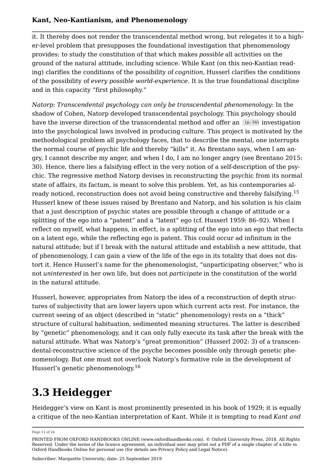it. It thereby does not render the transcendental method wrong, but relegates it to a higher-level problem that presupposes the foundational investigation that phenomenology provides: to study the constitution of that which makes *possible* all activities on the ground of the natural attitude, including science. While Kant (on this neo-Kantian reading) clarifies the conditions of the possibility of *cognition,* Husserl clarifies the conditions of the possibility of *every possible world-experience*. It is the true foundational discipline and in this capacity "first philosophy."

*Natorp: Transcendental psychology can only be transcendental phenomenology*: In the shadow of Cohen, Natorp developed transcendental psychology. This psychology should have the inverse direction of the transcendental method and offer an **(p. 56)** investigation into the psychological laws involved in producing culture. This project is motivated by the methodological problem all psychology faces, that to describe the mental, one interrupts the normal course of psychic life and thereby "kills" it. As Brentano says, when I am angry, I cannot describe my anger, and when I do, I am no longer angry (see Brentano 2015: 30). Hence, there lies a falsifying effect in the very notion of a self-description of the psychic. The regressive method Natorp devises in reconstructing the psychic from its normal state of affairs, its factum, is meant to solve this problem. Yet, as his contemporaries already noticed, reconstruction does not avoid being constructive and thereby falsifying.<sup>15</sup> Husserl knew of these issues raised by Brentano and Natorp, and his solution is his claim that a just description of psychic states are possible through a change of attitude or a splitting of the ego into a "patent" and a "latent" ego (cf. Husserl 1959: 86–92). When I reflect on myself, what happens, in effect, is a splitting of the ego into an ego that reflects on a latent ego, while the reflecting ego is patent. This could occur ad infinitum in the natural attitude; but if I break with the natural attitude and establish a new attitude, that of phenomenology, I can gain a view of the life of the ego in its totality that does not distort it. Hence Husserl's name for the phenomenologist, "unparticipating observer," who is not *uninterested* in her own life, but does not *participate* in the constitution of the world in the natural attitude.

Husserl, however, appropriates from Natorp the idea of a reconstruction of depth structures of subjectivity that are lower layers upon which current acts rest. For instance, the current seeing of an object (described in "static" phenomenology) rests on a "thick" structure of cultural habituation, sedimented meaning structures. The latter is described by "genetic" phenomenology, and it can only fully execute its task after the break with the natural attitude. What was Natorp's "great premonition" (Husserl 2002: 3) of a transcendental-reconstructive science of the psyche becomes possible only through genetic phenomenology. But one must not overlook Natorp's formative role in the development of Husserl's genetic phenomenology.<sup>16</sup>

# **3.3 Heidegger**

Heidegger's view on Kant is most prominently presented in his book of 1929; it is equally a critique of the neo-Kantian interpretation of Kant. While it is tempting to read *Kant and* 

Page 11 of 24

PRINTED FROM OXFORD HANDBOOKS ONLINE (www.oxfordhandbooks.com). © Oxford University Press, 2018. All Rights Reserved. Under the terms of the licence agreement, an individual user may print out a PDF of a single chapter of a title in Oxford Handbooks Online for personal use (for details see Privacy Policy and Legal Notice).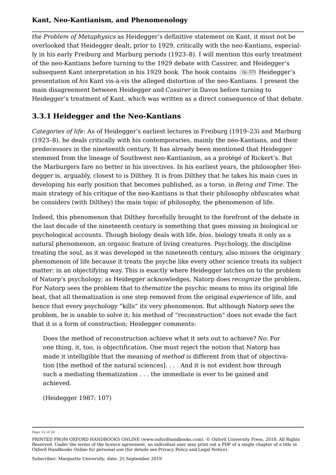*the Problem of Metaphysics* as Heidegger's definitive statement on Kant, it must not be overlooked that Heidegger dealt, prior to 1929, critically with the neo-Kantians, especially in his early Freiburg and Marburg periods (1923–8). I will mention this early treatment of the neo-Kantians before turning to the 1929 debate with Cassirer, and Heidegger's subsequent Kant interpretation in his 1929 book. The book contains **(p. 57)** Heidegger's presentation of *his* Kant vis-à-vis the alleged distortion of the neo-Kantians. I present the main disagreement between Heidegger and *Cassirer* in Davos before turning to Heidegger's treatment of Kant, which was written as a direct consequence of that debate.

## **3.3.1 Heidegger and the Neo-Kantians**

*Categories of life*: As of Heidegger's earliest lectures in Freiburg (1919–23) and Marburg (1923–8), he deals critically with his contemporaries, mainly the neo-Kantians, and their predecessors in the nineteenth century. It has already been mentioned that Heidegger stemmed from the lineage of Southwest neo-Kantianism, as a protégé of Rickert's. But the Marburgers fare no better in his invectives. In his earliest years, the philosopher Heidegger is, arguably, closest to is Dilthey. It is from Dilthey that he takes his main cues in developing his early position that becomes published, as a torso, in *Being and Time*. The main strategy of his critique of the neo-Kantians is that their philosophy obfuscates what he considers (with Dilthey) the main topic of philosophy, the phenomenon of life.

Indeed, this phenomenon that Dilthey forcefully brought to the forefront of the debate in the last decade of the nineteenth century is something that goes missing in biological or psychological accounts. Though biology deals with life, *bios*, biology treats it only as a natural phenomenon, an organic feature of living creatures. Psychology, the discipline treating the soul, as it was developed in the nineteenth century, also misses the originary phenomenon of life because it treats the psyche like every other science treats its subject matter: in an objectifying way. This is exactly where Heidegger latches on to the problem of Natorp's psychology; as Heidegger acknowledges, Natorp does *recognize* the problem. For Natorp sees the problem that to *thematize* the psychic means to miss its original life beat, that all thematization is one step removed from the original *experience* of life, and hence that every psychology "kills" its very phenomenon. But although Natorp *sees* the problem, he is unable to solve it; his method of "reconstruction" does not evade the fact that it is a form of construction; Heidegger comments:

Does the method of reconstruction achieve what it sets out to achieve? *No.* For one thing, it, too, is objectification. One must reject the notion that Natorp has made it intelligible that the meaning of *method* is different from that of objectivation [the method of the natural sciences]. . . . And it is not evident how through such a mediating thematization . . . the immediate is ever to be gained and achieved.

(Heidegger 1987: 107)

Page 12 of 24

PRINTED FROM OXFORD HANDBOOKS ONLINE (www.oxfordhandbooks.com). © Oxford University Press, 2018. All Rights Reserved. Under the terms of the licence agreement, an individual user may print out a PDF of a single chapter of a title in Oxford Handbooks Online for personal use (for details see Privacy Policy and Legal Notice).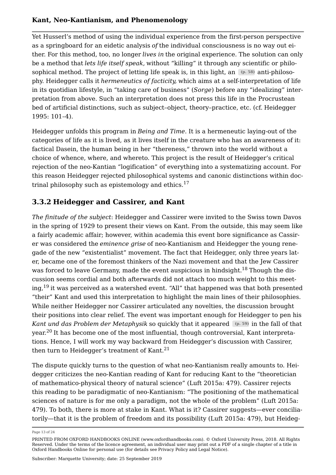Yet Husserl's method of using the individual experience from the first-person perspective as a springboard for an eidetic analysis *of* the individual consciousness is no way out either. For this method, too, no longer *lives in* the original experience. The solution can only be a method that *lets life itself speak,* without "killing" it through any scientific or philosophical method. The project of letting life speak is, in this light, an **(p. 58)** anti-philosophy. Heidegger calls it *hermeneutics of facticity,* which aims at a self-interpretation of life in its quotidian lifestyle, in "taking care of business" (*Sorge*) before any "idealizing" interpretation from above. Such an interpretation does not press this life in the Procrustean bed of artificial distinctions, such as subject–object, theory–practice, etc. (cf. Heidegger 1995: 101–4).

Heidegger unfolds this program in *Being and Time*. It is a hermeneutic laying-out of the categories of life as it is lived, as it lives itself in the creature who has an awareness of it: factical Dasein, the human being in her "thereness," thrown into the world without a choice of whence, where, and whereto. This project is the result of Heidegger's critical rejection of the neo-Kantian "logification" of everything into a systematizing account. For this reason Heidegger rejected philosophical systems and canonic distinctions within doctrinal philosophy such as epistemology and ethics.<sup>17</sup>

## **3.3.2 Heidegger and Cassirer, and Kant**

*The finitude of the subject*: Heidegger and Cassirer were invited to the Swiss town Davos in the spring of 1929 to present their views on Kant. From the outside, this may seem like a fairly academic affair; however, within academia this event bore significance as Cassirer was considered the *eminence grise* of neo-Kantianism and Heidegger the young renegade of the new "existentialist" movement. The fact that Heidegger, only three years later, became one of the foremost thinkers of the Nazi movement and that the Jew Cassirer was forced to leave Germany, made the event auspicious in hindsight.<sup>18</sup> Though the discussion seems cordial and both afterwards did not attach too much weight to this meeting,<sup>19</sup> it was perceived as a watershed event. "All" that happened was that both presented "their" Kant and used this interpretation to highlight the main lines of their philosophies. While neither Heidegger nor Cassirer articulated any novelties, the discussion brought their positions into clear relief. The event was important enough for Heidegger to pen his *Kant und das Problem der Metaphysik* so quickly that it appeared **(p. 59)** in the fall of that year.<sup>20</sup> It has become one of the most influential, though controversial, Kant interpretations. Hence, I will work my way backward from Heidegger's discussion with Cassirer, then turn to Heidegger's treatment of Kant.<sup>21</sup>

The dispute quickly turns to the question of what neo-Kantianism really amounts to. Heidegger criticizes the neo-Kantian reading of Kant for reducing Kant to the "theoretician of mathematico-physical theory of natural science" (Luft 2015a: 479). Cassirer rejects this reading to be paradigmatic of neo-Kantianism: "The positioning of the mathematical sciences of nature is for me only a paradigm, not the whole of the problem" (Luft 2015a: 479). To both, there is more at stake in Kant. What is it? Cassirer suggests—ever conciliatorily—that it is the problem of freedom and its possibility (Luft 2015a: 479), but Heideg

Page 13 of 24

PRINTED FROM OXFORD HANDBOOKS ONLINE (www.oxfordhandbooks.com). © Oxford University Press, 2018. All Rights Reserved. Under the terms of the licence agreement, an individual user may print out a PDF of a single chapter of a title in Oxford Handbooks Online for personal use (for details see Privacy Policy and Legal Notice).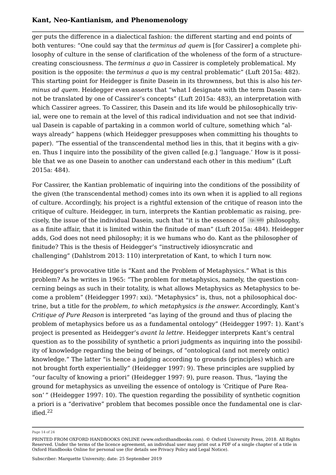ger puts the difference in a dialectical fashion: the different starting and end points of both ventures: "One could say that the *terminus ad quem* is [for Cassirer] a complete philosophy of culture in the sense of clarification of the wholeness of the form of a structurecreating consciousness. The *terminus a quo* in Cassirer is completely problematical. My position is the opposite: the *terminus a quo* is my central problematic" (Luft 2015a: 482). This starting point for Heidegger is finite Dasein in its thrownness, but this is also his *terminus ad quem*. Heidegger even asserts that "what I designate with the term Dasein cannot be translated by one of Cassirer's concepts" (Luft 2015a: 483), an interpretation with which Cassirer agrees. To Cassirer, this Dasein and its life would be philosophically trivial, were one to remain at the level of this radical individuation and not see that individual Dasein is capable of partaking in a common world of culture, something which "always already" happens (which Heidegger presupposes when committing his thoughts to paper). "The essential of the transcendental method lies in this, that it begins with a given. Thus I inquire into the possibility of the given called [e.g.] 'language.' How is it possible that we as one Dasein to another can understand each other in this medium" (Luft 2015a: 484).

For Cassirer, the Kantian problematic of inquiring into the conditions of the possibility of the given (the transcendental method) comes into its own when it is applied to all regions of culture. Accordingly, his project is a rightful extension of the critique of reason into the critique of culture. Heidegger, in turn, interprets the Kantian problematic as raising, precisely, the issue of the individual Dasein, such that "it is the essence of **(p. 60)** philosophy, as a finite affair, that it is limited within the finitude of man" (Luft 2015a: 484). Heidegger adds, God does not need philosophy; it is we humans who do. Kant as the philosopher of finitude? This is the thesis of Heidegger's "instructively idiosyncratic and challenging" (Dahlstrom 2013: 110) interpretation of Kant, to which I turn now.

Heidegger's provocative title is "Kant and the Problem of Metaphysics." What is this problem? As he writes in 1965: "The problem for metaphysics, namely, the question concerning beings as such in their totality, is what allows Metaphysics as Metaphysics to become a problem" (Heidegger 1997: xxi). "Metaphysics" is, thus, not a philosophical doctrine, but a title for the *problem, to which metaphysics is the answer.* Accordingly, Kant's *Critique of Pure Reason* is interpreted "as laying of the ground and thus of placing the problem of metaphysics before us as a fundamental ontology" (Heidegger 1997: 1). Kant's project is presented as Heidegger's *avant la lettre*. Heidegger interprets Kant's central question as to the possibility of synthetic a priori judgments as inquiring into the possibility of knowledge regarding the being of beings, of "ontological (and not merely ontic) knowledge." The latter "is hence a judging according to grounds (principles) which are not brought forth experientially" (Heidegger 1997: 9). These principles are supplied by "our faculty of knowing a priori" (Heidegger 1997: 9), pure reason. Thus, "laying the ground for metaphysics as unveiling the essence of ontology is 'Critique of Pure Reason' " (Heidegger 1997: 10). The question regarding the possibility of synthetic cognition a priori is a "derivative" problem that becomes possible once the fundamental one is clarified.<sup>22</sup>

Page 14 of 24

PRINTED FROM OXFORD HANDBOOKS ONLINE (www.oxfordhandbooks.com). © Oxford University Press, 2018. All Rights Reserved. Under the terms of the licence agreement, an individual user may print out a PDF of a single chapter of a title in Oxford Handbooks Online for personal use (for details see Privacy Policy and Legal Notice).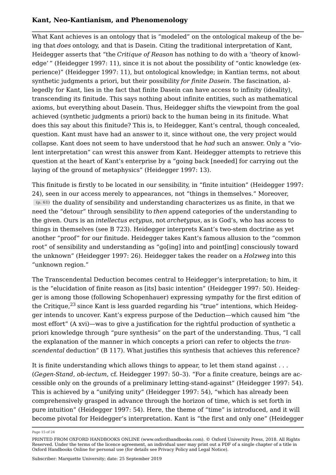What Kant achieves is an ontology that is "modeled" on the ontological makeup of the being that *does* ontology, and that is Dasein. Citing the traditional interpretation of Kant, Heidegger asserts that "the *Critique of Reason* has nothing to do with a 'theory of knowledge' " (Heidegger 1997: 11), since it is not about the possibility of "ontic knowledge (experience)" (Heidegger 1997: 11), but ontological knowledge; in Kantian terms, not about synthetic judgments a priori, but their possibility *for finite Dasein*. The fascination, allegedly for Kant, lies in the fact that finite Dasein can have access to infinity (ideality), transcending its finitude. This says nothing about infinite entities, such as mathematical axioms, but everything about Dasein. Thus, Heidegger shifts the viewpoint from the goal achieved (synthetic judgments a priori) back to the human being in its finitude. What does this say about this finitude? This is, to Heidegger, Kant's central, though concealed, question. Kant must have had an answer to it, since without one, the very project would collapse. Kant does not seem to have understood that he *had* such an answer. Only a "violent interpretation" can wrest this answer from Kant. Heidegger attempts to retrieve this question at the heart of Kant's enterprise by a "going back [needed] for carrying out the laying of the ground of metaphysics" (Heidegger 1997: 13).

This finitude is firstly to be located in our sensibility, in "finite intuition" (Heidegger 1997: 24), seen in our access merely to appearances, not "things in themselves." Moreover, **(p. 61)** the duality of sensibility and understanding characterizes us as finite, in that we need the "detour" through sensibility to *then* append categories of the understanding to the given. Ours is an *intellectus ectypus,* not *archetypus,* as is God's, who has access to things in themselves (see B 723). Heidegger interprets Kant's two-stem doctrine as yet another "proof" for our finitude. Heidegger takes Kant's famous allusion to the "common root" of sensibility and understanding as "go[ing] into and point[ing] consciously toward the unknown" (Heidegger 1997: 26). Heidegger takes the reader on a *Holzweg* into this "unknown region."

The Transcendental Deduction becomes central to Heidegger's interpretation; to him, it is the "elucidation of finite reason as [its] basic intention" (Heidegger 1997: 50). Heidegger is among those (following Schopenhauer) expressing sympathy for the first edition of the Critique,<sup>23</sup> since Kant is less guarded regarding his "true" intentions, which Heidegger intends to uncover. Kant's express purpose of the Deduction—which caused him "the most effort" (A xvi)—was to give a justification for the rightful production of synthetic a priori knowledge through "pure synthesis" on the part of the understanding. Thus, "I call the explanation of the manner in which concepts a priori can refer to objects the *transcendental* deduction" (B 117). What justifies this synthesis that achieves this reference?

It is finite understanding which allows things to appear, to let them stand against . . . (*Gegen-Stand, ob-iectum*, cf. Heidegger 1997: 50–3). "For a finite creature, beings are accessible only on the grounds of a preliminary letting-stand-against" (Heidegger 1997: 54). This is achieved by a "unifying unity" (Heidegger 1997: 54), "which has already been comprehensively grasped in advance through the horizon of time, which is set forth in pure intuition" (Heidegger 1997: 54). Here, the theme of "time" is introduced, and it will become pivotal for Heidegger's interpretation. Kant is "the first and only one" (Heidegger

Page 15 of 24

PRINTED FROM OXFORD HANDBOOKS ONLINE (www.oxfordhandbooks.com). © Oxford University Press, 2018. All Rights Reserved. Under the terms of the licence agreement, an individual user may print out a PDF of a single chapter of a title in Oxford Handbooks Online for personal use (for details see Privacy Policy and Legal Notice).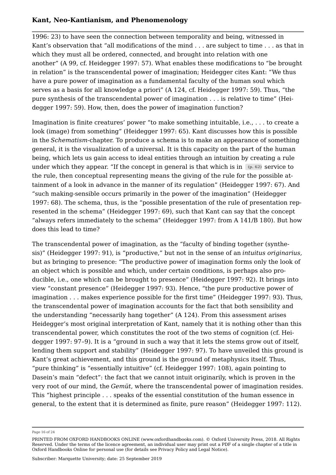1996: 23) to have seen the connection between temporality and being, witnessed in Kant's observation that "all modifications of the mind . . . are subject to time . . . as that in which they must all be ordered, connected, and brought into relation with one another" (A 99, cf. Heidegger 1997: 57). What enables these modifications to "be brought in relation" is the transcendental power of imagination; Heidegger cites Kant: "We thus have a pure power of imagination as a fundamental faculty of the human soul which serves as a basis for all knowledge a priori" (A 124, cf. Heidegger 1997: 59). Thus, "the pure synthesis of the transcendental power of imagination . . . is relative to time" (Heidegger 1997: 59). How, then, does the power of imagination function?

Imagination is finite creatures' power "to make something intuitable, i.e., . . . to create a look (image) from something" (Heidegger 1997: 65). Kant discusses how this is possible in the *Schematism-*chapter. To produce a schema is to make an appearance of something general, it is the visualization of a universal. It is this capacity on the part of the human being, which lets us gain access to ideal entities through an intuition by creating a rule under which they appear. "If the concept in general is that which is in  $(p. 62)$  service to the rule, then conceptual representing means the giving of the rule for the possible attainment of a look in advance in the manner of its regulation" (Heidegger 1997: 67). And "such making-sensible occurs primarily in the power of the imagination" (Heidegger 1997: 68). The schema, thus, is the "possible presentation of the rule of presentation represented in the schema" (Heidegger 1997: 69), such that Kant can say that the concept "always refers immediately to the schema" (Heidegger 1997: from A 141/B 180). But how does this lead to time?

The transcendental power of imagination, as the "faculty of binding together (synthesis)" (Heidegger 1997: 91), is "productive," but not in the sense of an *intuitus originarius,* but as bringing to presence: "The productive power of imagination forms only the look of an object which is possible and which, under certain conditions, is perhaps also producible, i.e., one which can be brought to presence" (Heidegger 1997: 92). It brings into view "constant presence" (Heidegger 1997: 93). Hence, "the pure productive power of imagination . . . makes experience possible for the first time" (Heidegger 1997: 93). Thus, the transcendental power of imagination accounts for the fact that both sensibility and the understanding "necessarily hang together" (A 124). From this assessment arises Heidegger's most original interpretation of Kant, namely that it is nothing other than this transcendental power, which constitutes the root of the two stems of cognition (cf. Heidegger 1997: 97–9). It is a "ground in such a way that it lets the stems grow out of itself, lending them support and stability" (Heidegger 1997: 97). To have unveiled this ground is Kant's great achievement, and this ground is the ground of metaphysics itself. Thus, "pure thinking" is "essentially intuitive" (cf. Heidegger 1997: 108), again pointing to Dasein's main "defect": the fact that we cannot intuit originarily, which is proven in the very root of our mind, the *Gemüt*, where the transcendental power of imagination resides. This "highest principle . . . speaks of the essential constitution of the human essence in general, to the extent that it is determined as finite, pure reason" (Heidegger 1997: 112).

Page 16 of 24

PRINTED FROM OXFORD HANDBOOKS ONLINE (www.oxfordhandbooks.com). © Oxford University Press, 2018. All Rights Reserved. Under the terms of the licence agreement, an individual user may print out a PDF of a single chapter of a title in Oxford Handbooks Online for personal use (for details see Privacy Policy and Legal Notice).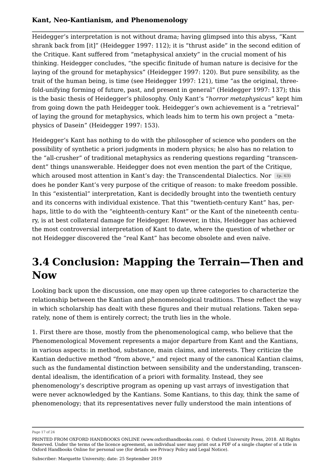Heidegger's interpretation is not without drama; having glimpsed into this abyss, "Kant shrank back from [it]" (Heidegger 1997: 112); it is "thrust aside" in the second edition of the Critique. Kant suffered from "metaphysical anxiety" in the crucial moment of his thinking. Heidegger concludes, "the specific finitude of human nature is decisive for the laying of the ground for metaphysics" (Heidegger 1997: 120). But pure sensibility, as the trait of the human being, is time (see Heidegger 1997: 121), time "as the original, threefold-unifying forming of future, past, and present in general" (Heidegger 1997: 137); this is the basic thesis of Heidegger's philosophy. Only Kant's "*horror metaphysicus*" kept him from going down the path Heidegger took. Heidegger's own achievement is a "retrieval" of laying the ground for metaphysics, which leads him to term his own project a "metaphysics of Dasein" (Heidegger 1997: 153).

Heidegger's Kant has nothing to do with the philosopher of science who ponders on the possibility of synthetic a priori judgments in modern physics; he also has no relation to the "all-crusher" of traditional metaphysics as rendering questions regarding "transcendent" things unanswerable. Heidegger does not even mention the part of the Critique, which aroused most attention in Kant's day: the Transcendental Dialectics. Nor **(p. 63)** does he ponder Kant's very purpose of the critique of reason: to make freedom possible. In this "existential" interpretation, Kant is decidedly brought into the twentieth century and its concerns with individual existence. That this "twentieth-century Kant" has, perhaps, little to do with the "eighteenth-century Kant" or the Kant of the nineteenth century, is at best collateral damage for Heidegger. However, in this, Heidegger has achieved the most controversial interpretation of Kant to date, where the question of whether or not Heidegger discovered the "real Kant" has become obsolete and even naïve.

# **3.4 Conclusion: Mapping the Terrain—Then and Now**

Looking back upon the discussion, one may open up three categories to characterize the relationship between the Kantian and phenomenological traditions. These reflect the way in which scholarship has dealt with these figures and their mutual relations. Taken separately, none of them is entirely correct; the truth lies in the whole.

1. First there are those, mostly from the phenomenological camp, who believe that the Phenomenological Movement represents a major departure from Kant and the Kantians, in various aspects: in method, substance, main claims, and interests. They criticize the Kantian deductive method "from above," and reject many of the canonical Kantian claims, such as the fundamental distinction between sensibility and the understanding, transcendental idealism, the identification of a priori with formality. Instead, they see phenomenology's descriptive program as opening up vast arrays of investigation that were never acknowledged by the Kantians. Some Kantians, to this day, think the same of phenomenology; that its representatives never fully understood the main intentions of

Page 17 of 24

PRINTED FROM OXFORD HANDBOOKS ONLINE (www.oxfordhandbooks.com). © Oxford University Press, 2018. All Rights Reserved. Under the terms of the licence agreement, an individual user may print out a PDF of a single chapter of a title in Oxford Handbooks Online for personal use (for details see Privacy Policy and Legal Notice).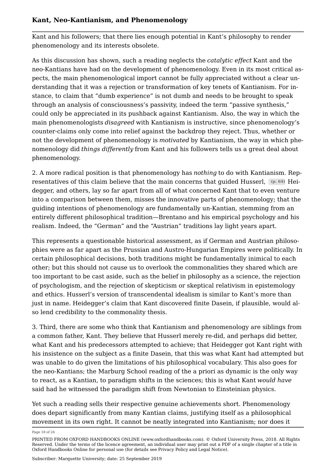Kant and his followers; that there lies enough potential in Kant's philosophy to render phenomenology and its interests obsolete.

As this discussion has shown, such a reading neglects the *catalytic effect* Kant and the neo-Kantians have had on the development of phenomenology. Even in its most critical aspects, the main phenomenological import cannot be fully appreciated without a clear understanding that it was a rejection or transformation of key tenets of Kantianism. For instance, to claim that "dumb experience" is not dumb and needs to be brought to speak through an analysis of consciousness's passivity, indeed the term "passive synthesis," could only be appreciated in its pushback against Kantianism. Also, the way in which the main phenomenologists *disagreed* with Kantianism is instructive, since phenomenology's counter-claims only come into relief against the backdrop they reject. Thus, whether or not the development of phenomenology is *motivated* by Kantianism, the way in which phenomenology did *things differently* from Kant and his followers tells us a great deal about phenomenology.

2. A more radical position is that phenomenology has *nothing* to do with Kantianism. Representatives of this claim believe that the main concerns that guided Husserl, **(p. 64)** Heidegger, and others, lay so far apart from all of what concerned Kant that to even venture into a comparison between them, misses the innovative parts of phenomenology; that the guiding intentions of phenomenology are fundamentally un-Kantian, stemming from an entirely different philosophical tradition—Brentano and his empirical psychology and his realism. Indeed, the "German" and the "Austrian" traditions lay light years apart.

This represents a questionable historical assessment, as if German and Austrian philosophies were as far apart as the Prussian and Austro-Hungarian Empires were politically. In certain philosophical decisions, both traditions might be fundamentally inimical to each other; but this should not cause us to overlook the commonalities they shared which are too important to be cast aside, such as the belief in philosophy as a science, the rejection of psychologism, and the rejection of skepticism or skeptical relativism in epistemology and ethics. Husserl's version of transcendental idealism is similar to Kant's more than just in name. Heidegger's claim that Kant discovered finite Dasein, if plausible, would also lend credibility to the commonality thesis.

3. Third, there are some who think that Kantianism and phenomenology are siblings from a common father, Kant. They believe that Husserl merely re-did, and perhaps did better, what Kant and his predecessors attempted to achieve; that Heidegger got Kant right with his insistence on the subject as a finite Dasein, that this was what Kant had attempted but was unable to do given the limitations of his philosophical vocabulary. This also goes for the neo-Kantians; the Marburg School reading of the a priori as dynamic is the only way to react, as a Kantian, to paradigm shifts in the sciences; this is what Kant *would have* said had he witnessed the paradigm shift from Newtonian to Einsteinian physics.

Yet such a reading sells their respective genuine achievements short. Phenomenology does depart significantly from many Kantian claims, justifying itself as a philosophical movement in its own right. It cannot be neatly integrated into Kantianism; nor does it

Page 18 of 24

PRINTED FROM OXFORD HANDBOOKS ONLINE (www.oxfordhandbooks.com). © Oxford University Press, 2018. All Rights Reserved. Under the terms of the licence agreement, an individual user may print out a PDF of a single chapter of a title in Oxford Handbooks Online for personal use (for details see Privacy Policy and Legal Notice).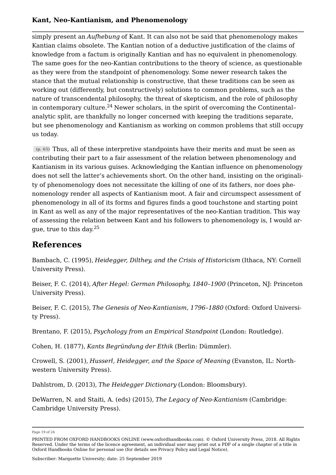simply present an *Aufhebung* of Kant. It can also not be said that phenomenology makes Kantian claims obsolete. The Kantian notion of a deductive justification of the claims of knowledge from a factum is originally Kantian and has no equivalent in phenomenology. The same goes for the neo-Kantian contributions to the theory of science, as questionable as they were from the standpoint of phenomenology. Some newer research takes the stance that the mutual relationship is constructive, that these traditions can be seen as working out (differently, but constructively) solutions to common problems, such as the nature of transcendental philosophy, the threat of skepticism, and the role of philosophy in contemporary culture.<sup>24</sup> Newer scholars, in the spirit of overcoming the Continentalanalytic split, are thankfully no longer concerned with keeping the traditions separate, but see phenomenology and Kantianism as working on common problems that still occupy us today.

**(p. 65)** Thus, all of these interpretive standpoints have their merits and must be seen as contributing their part to a fair assessment of the relation between phenomenology and Kantianism in its various guises. Acknowledging the Kantian influence on phenomenology does not sell the latter's achievements short. On the other hand, insisting on the originality of phenomenology does not necessitate the killing of one of its fathers, nor does phenomenology render all aspects of Kantianism moot. A fair and circumspect assessment of phenomenology in all of its forms and figures finds a good touchstone and starting point in Kant as well as any of the major representatives of the neo-Kantian tradition. This way of assessing the relation between Kant and his followers to phenomenology is, I would argue, true to this day.<sup>25</sup>

## **References**

Bambach, C. (1995), *Heidegger, Dilthey, and the Crisis of Historicism* (Ithaca, NY: Cornell University Press).

Beiser, F. C. (2014), *After Hegel: German Philosophy, 1840–1900* (Princeton, NJ: Princeton University Press).

Beiser, F. C. (2015), *The Genesis of Neo-Kantianism, 1796–1880* (Oxford: Oxford University Press).

Brentano, F. (2015), *Psychology from an Empirical Standpoint* (London: Routledge).

Cohen, H. (1877), *Kants Begründung der Ethik* (Berlin: Dümmler).

Crowell, S. (2001), *Husserl, Heidegger, and the Space of Meaning* (Evanston, IL: Northwestern University Press).

Dahlstrom, D. (2013), *The Heidegger Dictionary* (London: Bloomsbury).

DeWarren, N. and Staiti, A. (eds) (2015), *The Legacy of Neo-Kantianism* (Cambridge: Cambridge University Press).

Page 19 of 24

PRINTED FROM OXFORD HANDBOOKS ONLINE (www.oxfordhandbooks.com). © Oxford University Press, 2018. All Rights Reserved. Under the terms of the licence agreement, an individual user may print out a PDF of a single chapter of a title in Oxford Handbooks Online for personal use (for details see Privacy Policy and Legal Notice).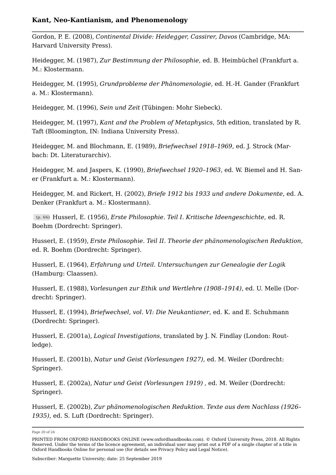Gordon, P. E. (2008), *Continental Divide: Heidegger, Cassirer, Davos* (Cambridge, MA: Harvard University Press).

Heidegger, M. (1987), *Zur Bestimmung der Philosophie*, ed. B. Heimbüchel (Frankfurt a. M.: Klostermann.

Heidegger, M. (1995), *Grundprobleme der Phänomenologie*, ed. H.-H. Gander (Frankfurt a. M.: Klostermann).

Heidegger, M. (1996), *Sein und Zeit* (Tübingen: Mohr Siebeck).

Heidegger, M. (1997), *Kant and the Problem of Metaphysics*, 5th edition, translated by R. Taft (Bloomington, IN: Indiana University Press).

Heidegger, M. and Blochmann, E. (1989), *Briefwechsel 1918–1969*, ed. J. Strock (Marbach: Dt. Literaturarchiv).

Heidegger, M. and Jaspers, K. (1990), *Briefwechsel 1920–1963*, ed. W. Biemel and H. Saner (Frankfurt a. M.: Klostermann).

Heidegger, M. and Rickert, H. (2002), *Briefe 1912 bis 1933 und andere Dokumente*, ed. A. Denker (Frankfurt a. M.: Klostermann).

**(p. 66)** Husserl, E. (1956), *Erste Philosophie. Teil I. Kritische Ideengeschichte*, ed. R. Boehm (Dordrecht: Springer).

Husserl, E. (1959), *Erste Philosophie. Teil II. Theorie der phänomenologischen Reduktion*, ed. R. Boehm (Dordrecht: Springer).

Husserl, E. (1964), *Erfahrung und Urteil. Untersuchungen zur Genealogie der Logik* (Hamburg: Claassen).

Husserl, E. (1988), *Vorlesungen zur Ethik und Wertlehre (1908–1914)*, ed. U. Melle (Dordrecht: Springer).

Husserl, E. (1994), *Briefwechsel, vol. VI: Die Neukantianer*, ed. K. and E. Schuhmann (Dordrecht: Springer).

Husserl, E. (2001a), *Logical Investigations*, translated by J. N. Findlay (London: Routledge).

Husserl, E. (2001b), *Natur und Geist (Vorlesungen 1927)*, ed. M. Weiler (Dordrecht: Springer).

Husserl, E. (2002a), *Natur und Geist (Vorlesungen 1919)* , ed. M. Weiler (Dordrecht: Springer).

Husserl, E. (2002b), *Zur phänomenologischen Reduktion. Texte aus dem Nachlass (1926– 1935)*, ed. S. Luft (Dordrecht: Springer).

Page 20 of 24

PRINTED FROM OXFORD HANDBOOKS ONLINE (www.oxfordhandbooks.com). © Oxford University Press, 2018. All Rights Reserved. Under the terms of the licence agreement, an individual user may print out a PDF of a single chapter of a title in Oxford Handbooks Online for personal use (for details see Privacy Policy and Legal Notice).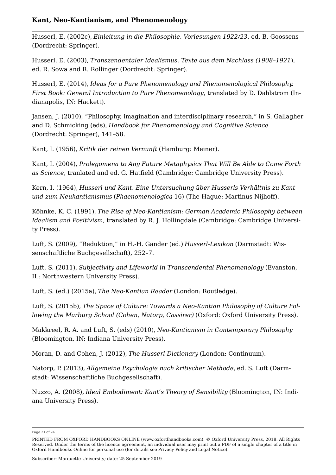Husserl, E. (2002c), *Einleitung in die Philosophie. Vorlesungen 1922/23*, ed. B. Goossens (Dordrecht: Springer).

Husserl, E. (2003), *Transzendentaler Idealismus. Texte aus dem Nachlass (1908–1921*), ed. R. Sowa and R. Rollinger (Dordrecht: Springer).

Husserl, E. (2014), *Ideas for a Pure Phenomenology and Phenomenological Philosophy. First Book: General Introduction to Pure Phenomenology*, translated by D. Dahlstrom (Indianapolis, IN: Hackett).

Jansen, J. (2010), "Philosophy, imagination and interdisciplinary research," in S. Gallagher and D. Schmicking (eds), *Handbook for Phenomenology and Cognitive Science* (Dordrecht: Springer), 141–58.

Kant, I. (1956), *Kritik der reinen Vernunft* (Hamburg: Meiner).

Kant, I. (2004), *Prolegomena to Any Future Metaphysics That Will Be Able to Come Forth as Science*, tranlated and ed. G. Hatfield (Cambridge: Cambridge University Press).

Kern, I. (1964), *Husserl und Kant. Eine Untersuchung über Husserls Verhältnis zu Kant und zum Neukantianismus* (*Phaenomenologica* 16) (The Hague: Martinus Nijhoff).

Köhnke, K. C. (1991), *The Rise of Neo-Kantianism: German Academic Philosophy between Idealism and Positivism*, translated by R. J. Hollingdale (Cambridge: Cambridge University Press).

Luft, S. (2009), "Reduktion," in H.-H. Gander (ed.) *Husserl-Lexikon* (Darmstadt: Wissenschaftliche Buchgesellschaft), 252–7.

Luft, S. (2011), *Subjectivity and Lifeworld in Transcendental Phenomenology* (Evanston, IL: Northwestern University Press).

Luft, S. (ed.) (2015a), *The Neo-Kantian Reader* (London: Routledge).

Luft, S. (2015b), *The Space of Culture: Towards a Neo-Kantian Philosophy of Culture Following the Marburg School (Cohen, Natorp, Cassirer)* (Oxford: Oxford University Press).

Makkreel, R. A. and Luft, S. (eds) (2010), *Neo-Kantianism in Contemporary Philosophy* (Bloomington, IN: Indiana University Press).

Moran, D. and Cohen, J. (2012), *The Husserl Dictionary* (London: Continuum).

Natorp, P. (2013), *Allgemeine Psychologie nach kritischer Methode,* ed. S. Luft (Darmstadt: Wissenschaftliche Buchgesellschaft).

Nuzzo, A. (2008), *Ideal Embodiment: Kant's Theory of Sensibility* (Bloomington, IN: Indiana University Press).

Page 21 of 24

PRINTED FROM OXFORD HANDBOOKS ONLINE (www.oxfordhandbooks.com). © Oxford University Press, 2018. All Rights Reserved. Under the terms of the licence agreement, an individual user may print out a PDF of a single chapter of a title in Oxford Handbooks Online for personal use (for details see Privacy Policy and Legal Notice).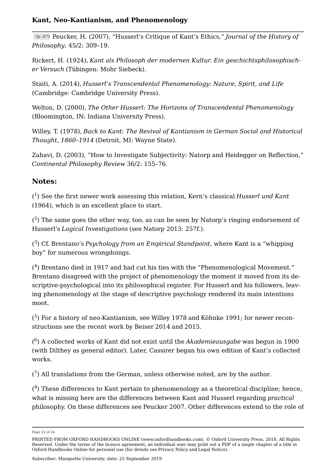**(p. 67)** Peucker, H. (2007), "Husserl's Critique of Kant's Ethics," *Journal of the History of Philosophy*, 45/2: 309–19.

Rickert, H. (1924), *Kant als Philosoph der modernen Kultur. Ein geschichtsphilosophischer Versuch* (Tübingen: Mohr Siebeck).

Staiti, A. (2014), *Husserl's Transcendental Phenomenology: Nature, Spirit, and Life* (Cambridge: Cambridge University Press).

Welton, D. (2000), *The Other Husserl: The Horizons of Transcendental Phenomenology* (Bloomington, IN: Indiana University Press).

Willey, T. (1978), *Back to Kant: The Revival of Kantianism in German Social and Historical Thought, 1860–1914* (Detroit, MI: Wayne State).

Zahavi, D. (2003), "How to Investigate Subjectivity: Natorp and Heidegger on Reflection," *Continental Philosophy Review* 36/2: 155–76.

### **Notes:**

( 1 ) See the first newer work assessing this relation, Kern's classical *Husserl und Kant* (1964), which is an excellent place to start.

 $(2)$  The same goes the other way, too, as can be seen by Natorp's ringing endorsement of Husserl's *Logical Investigations* (see Natorp 2013: 257f.).

( 3 ) Cf. Brentano's *Psychology from an Empirical Standpoint*, where Kant is a "whipping boy" for numerous wrongdoings.

( 4 ) Brentano died in 1917 and had cut his ties with the "Phenomenological Movement." Brentano disagreed with the project of phenomenology the moment it moved from its descriptive-psychological into its philosophical register. For Husserl and his followers, leaving phenomenology at the stage of descriptive psychology rendered its main intentions moot.

( 5 ) For a history of neo-Kantianism, see Willey 1978 and Köhnke 1991; for newer reconstructions see the recent work by Beiser 2014 and 2015.

( 6 ) A collected works of Kant did not exist until the *Akademieausgabe* was begun in 1900 (with Dilthey as general editor). Later, Cassirer began his own edition of Kant's collected works.

 $(7)$  All translations from the German, unless otherwise noted, are by the author.

 $(8)$  These differences to Kant pertain to phenomenology as a theoretical discipline; hence, what is missing here are the differences between Kant and Husserl regarding *practical* philosophy. On these differences see Peucker 2007. Other differences extend to the role of

Page 22 of 24

PRINTED FROM OXFORD HANDBOOKS ONLINE (www.oxfordhandbooks.com). © Oxford University Press, 2018. All Rights Reserved. Under the terms of the licence agreement, an individual user may print out a PDF of a single chapter of a title in Oxford Handbooks Online for personal use (for details see Privacy Policy and Legal Notice).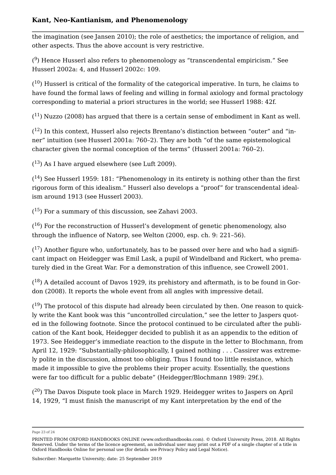the imagination (see Jansen 2010); the role of aesthetics; the importance of religion, and other aspects. Thus the above account is very restrictive.

 $(9)$  Hence Husserl also refers to phenomenology as "transcendental empiricism." See Husserl 2002a: 4, and Husserl 2002c: 109.

 $(10)$  Husserl is critical of the formality of the categorical imperative. In turn, he claims to have found the formal laws of feeling and willing in formal axiology and formal practology corresponding to material a priori structures in the world; see Husserl 1988: 42f.

 $(1)$  Nuzzo (2008) has argued that there is a certain sense of embodiment in Kant as well.

 $(1<sup>2</sup>)$  In this context, Husserl also rejects Brentano's distinction between "outer" and "inner" intuition (see Husserl 2001a: 760–2). They are both "of the same epistemological character given the normal conception of the terms" (Husserl 2001a: 760–2).

 $(13)$  As I have argued elsewhere (see Luft 2009).

 $(14)$  See Husserl 1959: 181: "Phenomenology in its entirety is nothing other than the first rigorous form of this idealism." Husserl also develops a "proof" for transcendental idealism around 1913 (see Husserl 2003).

( <sup>15</sup>) For a summary of this discussion, see Zahavi 2003.

 $(16)$  For the reconstruction of Husserl's development of genetic phenomenology, also through the influence of Natorp, see Welton (2000, esp. ch. 9: 221–56).

 $(17)$  Another figure who, unfortunately, has to be passed over here and who had a significant impact on Heidegger was Emil Lask, a pupil of Windelband and Rickert, who prematurely died in the Great War. For a demonstration of this influence, see Crowell 2001.

 $(18)$  A detailed account of Davos 1929, its prehistory and aftermath, is to be found in Gordon (2008). It reports the whole event from all angles with impressive detail.

 $(19)$  The protocol of this dispute had already been circulated by then. One reason to quickly write the Kant book was this "uncontrolled circulation," see the letter to Jaspers quoted in the following footnote. Since the protocol continued to be circulated after the publication of the Kant book, Heidegger decided to publish it as an appendix to the edition of 1973. See Heidegger's immediate reaction to the dispute in the letter to Blochmann, from April 12, 1929: "Substantially-philosophically, I gained nothing . . . Cassirer was extremely polite in the discussion, almost too obliging. Thus I found too little resistance, which made it impossible to give the problems their proper acuity. Essentially, the questions were far too difficult for a public debate" (Heidegger/Blochmann 1989: 29f.).

 $(20)$  The Davos Dispute took place in March 1929. Heidegger writes to Jaspers on April 14, 1929, "I must finish the manuscript of my Kant interpretation by the end of the

Page 23 of 24

PRINTED FROM OXFORD HANDBOOKS ONLINE (www.oxfordhandbooks.com). © Oxford University Press, 2018. All Rights Reserved. Under the terms of the licence agreement, an individual user may print out a PDF of a single chapter of a title in Oxford Handbooks Online for personal use (for details see Privacy Policy and Legal Notice).